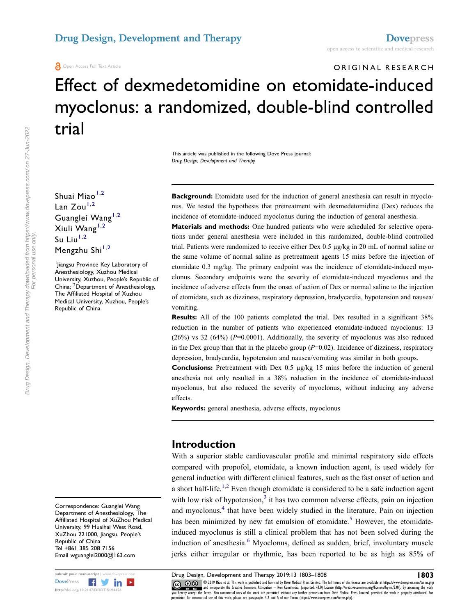**A** Open Access Full Text Article

# ORIGINAL RESEARCH Effect of dexmedetomidine on etomidate-induced myoclonus: a randomized, double-blind controlled trial

This article was published in the following Dove Press journal: Drug Design, Development and Therapy

Shuai Miao<sup>[1,](#page-0-0)[2](#page-0-1)</sup> Lan  $Z_{\text{OU}}^{1,2}$  $Z_{\text{OU}}^{1,2}$  $Z_{\text{OU}}^{1,2}$  $Z_{\text{OU}}^{1,2}$ Guanglei Wang<sup>[1,](#page-0-0)[2](#page-0-1)</sup> Xiuli Wang<sup>[1](#page-0-0),[2](#page-0-1)</sup> Su Liu $1,2$  $1,2$ Mengzhu Shi<sup>[1,](#page-0-0)[2](#page-0-1)</sup>

<span id="page-0-1"></span><span id="page-0-0"></span>1 Jiangsu Province Key Laboratory of Anesthesiology, Xuzhou Medical University, Xuzhou, People's Republic of China; <sup>2</sup>Department of Anesthesiology, The Affiliated Hospital of Xuzhou Medical University, Xuzhou, People's Republic of China

Correspondence: Guanglei Wang Department of Anesthesiology, The Affiliated Hospital of XuZhou Medical University, 99 Huaihai West Road, XuZhou 221000, Jiangsu, People's Republic of China Tel +861 385 208 7156 Email wguanglei2000@163.com



Drug Design, Development and Therapy downloaded from https://www.dovepress.com/ on 27-Jun-2022

Background: Etomidate used for the induction of general anesthesia can result in myoclonus. We tested the hypothesis that pretreatment with dexmedetomidine (Dex) reduces the incidence of etomidate-induced myoclonus during the induction of general anesthesia.

Materials and methods: One hundred patients who were scheduled for selective operations under general anesthesia were included in this randomized, double-blind controlled trial. Patients were randomized to receive either Dex 0.5 µg/kg in 20 mL of normal saline or the same volume of normal saline as pretreatment agents 15 mins before the injection of etomidate 0.3 mg/kg. The primary endpoint was the incidence of etomidate-induced myoclonus. Secondary endpoints were the severity of etomidate-induced myoclonus and the incidence of adverse effects from the onset of action of Dex or normal saline to the injection of etomidate, such as dizziness, respiratory depression, bradycardia, hypotension and nausea/ vomiting.

Results: All of the 100 patients completed the trial. Dex resulted in a significant 38% reduction in the number of patients who experienced etomidate-induced myoclonus: 13  $(26%)$  vs 32  $(64%)$   $(P=0.0001)$ . Additionally, the severity of myoclonus was also reduced in the Dex group than that in the placebo group  $(P=0.02)$ . Incidence of dizziness, respiratory depression, bradycardia, hypotension and nausea/vomiting was similar in both groups.

**Conclusions:** Pretreatment with Dex  $0.5 \mu g/kg$  15 mins before the induction of general anesthesia not only resulted in a 38% reduction in the incidence of etomidate-induced myoclonus, but also reduced the severity of myoclonus, without inducing any adverse effects.

Keywords: general anesthesia, adverse effects, myoclonus

## Introduction

<span id="page-0-6"></span><span id="page-0-5"></span><span id="page-0-4"></span><span id="page-0-3"></span><span id="page-0-2"></span>With a superior stable cardiovascular profile and minimal respiratory side effects compared with propofol, etomidate, a known induction agent, is used widely for general induction with different clinical features, such as the fast onset of action and a short half-life.<sup>[1](#page-4-0),[2](#page-4-1)</sup> Even though etomidate is considered to be a safe induction agent with low risk of hypotension, $3$  it has two common adverse effects, pain on injection and myoclonus,<sup>[4](#page-4-3)</sup> that have been widely studied in the literature. Pain on injection has been minimized by new fat emulsion of etomidate.<sup>[5](#page-4-4)</sup> However, the etomidateinduced myoclonus is still a clinical problem that has not been solved during the induction of anesthesia.<sup>[6](#page-4-5)</sup> Myoclonus, defined as sudden, brief, involuntary muscle jerks either irregular or rhythmic, has been reported to be as high as 85% of

submit your manuscript | www.dovepress.com **Drug Design, Development and Therapy 2019:13 1803–1808 1803**<br>DovePress **1999 1803** 1803 1999 Mise et al. This work is published and licensed by Dove Medical Press Limited. The fu CC **D** S © 2019 Miao et al. This work is published and licensed by Dove Medical Press Limited. The full terms of this license are available at https://www.dovepress.com/terms.php www.particle.com and incorporate the Creative Commons Attribution — Non Commercial (unported, v3.0) License (http://creativecommons.org/licenses/by-nc/3.0/). By accessing the work<br>you hereby accept the Terms. Non-commercia permission for commercial use of this work, please see paragraphs 4.2 and 5 of our Terms (https://www.dovepress.com/terms.php).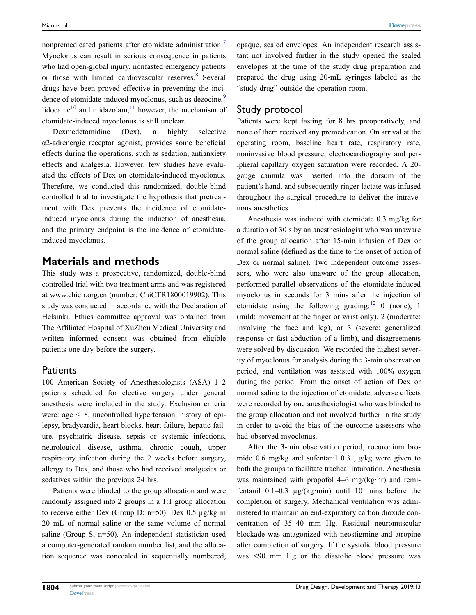<span id="page-1-1"></span><span id="page-1-0"></span>nonpremedicated patients after etomidate administration.<sup>[7](#page-5-0)</sup> Myoclonus can result in serious consequence in patients who had open-global injury, nonfasted emergency patients or those with limited cardiovascular reserves.<sup>[8](#page-5-1)</sup> Several drugs have been proved effective in preventing the inci-dence of etomidate-induced myoclonus, such as dezocine,<sup>[9](#page-5-2)</sup> lidocaine<sup>[10](#page-5-3)</sup> and midazolam;<sup>[11](#page-5-4)</sup> however, the mechanism of etomidate-induced myoclonus is still unclear.

<span id="page-1-3"></span><span id="page-1-2"></span>Dexmedetomidine (Dex), a highly selective α2-adrenergic receptor agonist, provides some beneficial effects during the operations, such as sedation, antianxiety effects and analgesia. However, few studies have evaluated the effects of Dex on etomidate-induced myoclonus. Therefore, we conducted this randomized, double-blind controlled trial to investigate the hypothesis that pretreatment with Dex prevents the incidence of etomidateinduced myoclonus during the induction of anesthesia, and the primary endpoint is the incidence of etomidateinduced myoclonus.

## Materials and methods

This study was a prospective, randomized, double-blind controlled trial with two treatment arms and was registered at [www.chictr.org.cn](http://www.chictr.org.cn) (number: ChiCTR1800019902). This study was conducted in accordance with the Declaration of Helsinki. Ethics committee approval was obtained from The Affiliated Hospital of XuZhou Medical University and written informed consent was obtained from eligible patients one day before the surgery.

#### **Patients**

100 American Society of Anesthesiologists (ASA) 1–2 patients scheduled for elective surgery under general anesthesia were included in the study. Exclusion criteria were: age <18, uncontrolled hypertension, history of epilepsy, bradycardia, heart blocks, heart failure, hepatic failure, psychiatric disease, sepsis or systemic infections, neurological disease, asthma, chronic cough, upper respiratory infection during the 2 weeks before surgery, allergy to Dex, and those who had received analgesics or sedatives within the previous 24 hrs.

Patients were blinded to the group allocation and were randomly assigned into 2 groups in a 1:1 group allocation to receive either Dex (Group D;  $n=50$ ): Dex 0.5  $\mu$ g/kg in 20 mL of normal saline or the same volume of normal saline (Group S; n=50). An independent statistician used a computer-generated random number list, and the allocation sequence was concealed in sequentially numbered,

opaque, sealed envelopes. An independent research assistant not involved further in the study opened the sealed envelopes at the time of the study drug preparation and prepared the drug using 20-mL syringes labeled as the "study drug" outside the operation room.

### Study protocol

Patients were kept fasting for 8 hrs preoperatively, and none of them received any premedication. On arrival at the operating room, baseline heart rate, respiratory rate, noninvasive blood pressure, electrocardiography and peripheral capillary oxygen saturation were recorded. A 20 gauge cannula was inserted into the dorsum of the patient's hand, and subsequently ringer lactate was infused throughout the surgical procedure to deliver the intravenous anesthetics.

<span id="page-1-4"></span>Anesthesia was induced with etomidate 0.3 mg/kg for a duration of 30 s by an anesthesiologist who was unaware of the group allocation after 15-min infusion of Dex or normal saline (defined as the time to the onset of action of Dex or normal saline). Two independent outcome assessors, who were also unaware of the group allocation, performed parallel observations of the etomidate-induced myoclonus in seconds for 3 mins after the injection of etomidate using the following grading: $12 \ 0 \$  $12 \ 0 \$  (none), 1 (mild: movement at the finger or wrist only), 2 (moderate: involving the face and leg), or 3 (severe: generalized response or fast abduction of a limb), and disagreements were solved by discussion. We recorded the highest severity of myoclonus for analysis during the 3-min observation period, and ventilation was assisted with 100% oxygen during the period. From the onset of action of Dex or normal saline to the injection of etomidate, adverse effects were recorded by one anesthesiologist who was blinded to the group allocation and not involved further in the study in order to avoid the bias of the outcome assessors who had observed myoclonus.

After the 3-min observation period, rocuronium bromide 0.6 mg/kg and sufentanil 0.3 µg/kg were given to both the groups to facilitate tracheal intubation. Anesthesia was maintained with propofol 4–6 mg/(kg·hr) and remifentanil 0.1–0.3 µg/(kg·min) until 10 mins before the completion of surgery. Mechanical ventilation was administered to maintain an end-expiratory carbon dioxide concentration of 35–40 mm Hg. Residual neuromuscular blockade was antagonized with neostigmine and atropine after completion of surgery. If the systolic blood pressure was <90 mm Hg or the diastolic blood pressure was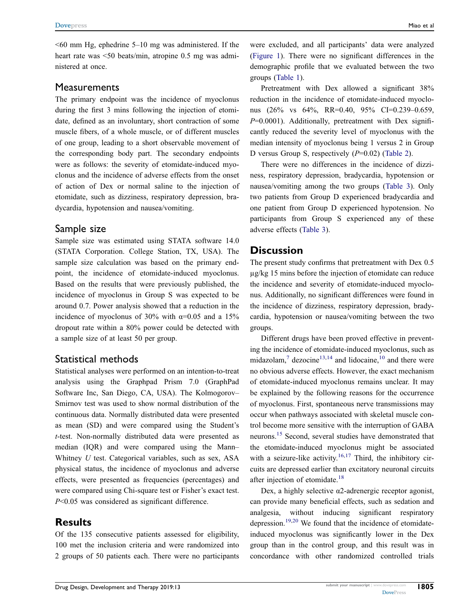$\leq 60$  mm Hg, ephedrine 5–10 mg was administered. If the heart rate was <50 beats/min, atropine 0.5 mg was administered at once.

#### **Measurements**

The primary endpoint was the incidence of myoclonus during the first 3 mins following the injection of etomidate, defined as an involuntary, short contraction of some muscle fibers, of a whole muscle, or of different muscles of one group, leading to a short observable movement of the corresponding body part. The secondary endpoints were as follows: the severity of etomidate-induced myoclonus and the incidence of adverse effects from the onset of action of Dex or normal saline to the injection of etomidate, such as dizziness, respiratory depression, bradycardia, hypotension and nausea/vomiting.

#### Sample size

Sample size was estimated using STATA software 14.0 (STATA Corporation. College Station, TX, USA). The sample size calculation was based on the primary endpoint, the incidence of etomidate-induced myoclonus. Based on the results that were previously published, the incidence of myoclonus in Group S was expected to be around 0.7. Power analysis showed that a reduction in the incidence of myoclonus of 30% with  $\alpha$ =0.05 and a 15% dropout rate within a 80% power could be detected with a sample size of at least 50 per group.

#### Statistical methods

Statistical analyses were performed on an intention-to-treat analysis using the Graphpad Prism 7.0 (GraphPad Software Inc, San Diego, CA, USA). The Kolmogorov– Smirnov test was used to show normal distribution of the continuous data. Normally distributed data were presented as mean (SD) and were compared using the Student's t-test. Non-normally distributed data were presented as median (IQR) and were compared using the Mann– Whitney  $U$  test. Categorical variables, such as sex, ASA physical status, the incidence of myoclonus and adverse effects, were presented as frequencies (percentages) and were compared using Chi-square test or Fisher's exact test. P<0.05 was considered as significant difference.

# Results

Of the 135 consecutive patients assessed for eligibility, 100 met the inclusion criteria and were randomized into 2 groups of 50 patients each. There were no participants were excluded, and all participants' data were analyzed [\(Figure 1\)](#page-3-0). There were no significant differences in the demographic profile that we evaluated between the two groups ([Table 1](#page-3-1)).

Pretreatment with Dex allowed a significant 38% reduction in the incidence of etomidate-induced myoclonus (26% vs 64%, RR=0.40, 95% CI=0.239–0.659,  $P=0.0001$ ). Additionally, pretreatment with Dex significantly reduced the severity level of myoclonus with the median intensity of myoclonus being 1 versus 2 in Group D versus Group S, respectively  $(P=0.02)$  [\(Table 2\)](#page-4-6).

There were no differences in the incidence of dizziness, respiratory depression, bradycardia, hypotension or nausea/vomiting among the two groups [\(Table 3\)](#page-4-7). Only two patients from Group D experienced bradycardia and one patient from Group D experienced hypotension. No participants from Group S experienced any of these adverse effects ([Table 3](#page-4-7)).

## **Discussion**

The present study confirms that pretreatment with Dex 0.5 µg/kg 15 mins before the injection of etomidate can reduce the incidence and severity of etomidate-induced myoclonus. Additionally, no significant differences were found in the incidence of dizziness, respiratory depression, bradycardia, hypotension or nausea/vomiting between the two groups.

<span id="page-2-0"></span>Different drugs have been proved effective in preventing the incidence of etomidate-induced myoclonus, such as midazolam, $\frac{7}{1}$  $\frac{7}{1}$  $\frac{7}{1}$  dezocine<sup>[13,](#page-5-6)[14](#page-5-7)</sup> and lidocaine,<sup>[10](#page-5-3)</sup> and there were no obvious adverse effects. However, the exact mechanism of etomidate-induced myoclonus remains unclear. It may be explained by the following reasons for the occurrence of myoclonus. First, spontaneous nerve transmissions may occur when pathways associated with skeletal muscle control become more sensitive with the interruption of GABA neurons.[15](#page-5-8) Second, several studies have demonstrated that the etomidate-induced myoclonus might be associated with a seizure-like activity.<sup>[16](#page-5-9)[,17](#page-5-10)</sup> Third, the inhibitory circuits are depressed earlier than excitatory neuronal circuits after injection of etomidate.<sup>[18](#page-5-11)</sup>

<span id="page-2-4"></span><span id="page-2-3"></span><span id="page-2-2"></span><span id="page-2-1"></span>Dex, a highly selective α2-adrenergic receptor agonist, can provide many beneficial effects, such as sedation and analgesia, without inducing significant respiratory depression.<sup>[19](#page-5-12)[,20](#page-5-13)</sup> We found that the incidence of etomidateinduced myoclonus was significantly lower in the Dex group than in the control group, and this result was in concordance with other randomized controlled trials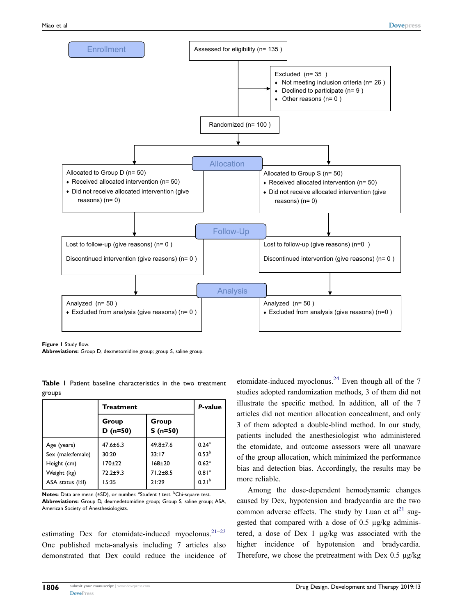<span id="page-3-0"></span>

Figure 1 Study flow.

Abbreviations: Group D, dexmetomidine group; group S, saline group.

<span id="page-3-1"></span>Table I Patient baseline characteristics in the two treatment groups

|                   | <b>Treatment</b>    | P-value            |                     |
|-------------------|---------------------|--------------------|---------------------|
|                   | Group<br>$D (n=50)$ | Group<br>$S(n=50)$ |                     |
| Age (years)       | $47.6 \pm 6.3$      | $49.8 + 7.6$       | $0.24$ <sup>a</sup> |
| Sex (male:female) | 30:20               | 33:17              | 0.53 <sup>b</sup>   |
| Height (cm)       | $170 + 22$          | $168 + 20$         | 0.62 <sup>a</sup>   |
| Weight (kg)       | $72.2 + 9.3$        | $71.2 + 8.5$       | 0.81 <sup>a</sup>   |
| ASA status (I:II) | 15:35               | 21:29              | 0.21 <sup>b</sup>   |

Notes: Data are mean (±SD), or number. <sup>a</sup>Student t test. <sup>b</sup>Chi-square test. Abbreviations: Group D, dexmedetomidine group; Group S, saline group; ASA, American Society of Anesthesiologists.

<span id="page-3-3"></span>estimating Dex for etomidate-induced myoclonus.<sup>[21](#page-5-14)-[23](#page-5-15)</sup> One published meta-analysis including 7 articles also demonstrated that Dex could reduce the incidence of <span id="page-3-4"></span>etomidate-induced myoclonus.<sup>[24](#page-5-16)</sup> Even though all of the  $7$ studies adopted randomization methods, 3 of them did not illustrate the specific method. In addition, all of the 7 articles did not mention allocation concealment, and only 3 of them adopted a double-blind method. In our study, patients included the anesthesiologist who administered the etomidate, and outcome assessors were all unaware of the group allocation, which minimized the performance bias and detection bias. Accordingly, the results may be more reliable.

<span id="page-3-2"></span>Among the dose-dependent hemodynamic changes caused by Dex, hypotension and bradycardia are the two common adverse effects. The study by Luan et  $al^{21}$  $al^{21}$  $al^{21}$  suggested that compared with a dose of 0.5 µg/kg administered, a dose of Dex 1 µg/kg was associated with the higher incidence of hypotension and bradycardia. Therefore, we chose the pretreatment with Dex 0.5  $\mu$ g/kg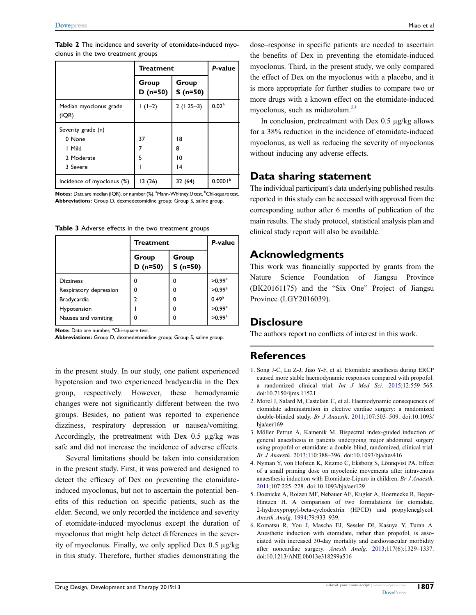<span id="page-4-6"></span>Table 2 The incidence and severity of etomidate-induced myoclonus in the two treatment groups

|                                 | <b>Treatment</b>   | P-value            |                     |
|---------------------------------|--------------------|--------------------|---------------------|
|                                 | Group<br>$D(n=50)$ | Group<br>$S(n=50)$ |                     |
| Median myoclonus grade<br>(IQR) | $1(1-2)$           | $2(1.25-3)$        | 0.02 <sup>a</sup>   |
| Severity grade (n)              |                    |                    |                     |
| 0 None                          | 37                 | 18                 |                     |
| I Mild                          | 7                  | 8                  |                     |
| 2 Moderate                      | 5                  | 10                 |                     |
| 3 Severe                        |                    | 14                 |                     |
| Incidence of myoclonus (%)      | 13(26)             | 32(64)             | 0.0001 <sup>b</sup> |

 $\mathsf{Notes}\colon \mathsf{Data}$  are median (IQR), or number (%).  $^{\mathrm{a}}$ Mann-Whitney  $U$  test.  $^{\mathrm{b}}$ Chi-square test. Abbreviations: Group D, dexmedetomidine group; Group S, saline group.

<span id="page-4-7"></span>

|  |  |  |  |  |  |  | Table 3 Adverse effects in the two treatment groups |  |
|--|--|--|--|--|--|--|-----------------------------------------------------|--|
|--|--|--|--|--|--|--|-----------------------------------------------------|--|

|                        | Treatment          | P-value            |                      |
|------------------------|--------------------|--------------------|----------------------|
|                        | Group<br>$D(n=50)$ | Group<br>$S(n=50)$ |                      |
| <b>Dizziness</b>       |                    | O                  | $>0.99^{\rm a}$      |
| Respiratory depression | 0                  | O                  | $>0.99$ <sup>a</sup> |
| Bradycardia            | າ                  | O                  | 0.49 <sup>a</sup>    |
| Hypotension            |                    | 0                  | $>0.99^{\rm a}$      |
| Nausea and vomiting    |                    | ŋ                  | $>0.99$ <sup>a</sup> |

Note: Data are number, <sup>a</sup>Chi-square test.

Abbreviations: Group D, dexmedetomidine group; Group S, saline group.

in the present study. In our study, one patient experienced hypotension and two experienced bradycardia in the Dex group, respectively. However, these hemodynamic changes were not significantly different between the two groups. Besides, no patient was reported to experience dizziness, respiratory depression or nausea/vomiting. Accordingly, the pretreatment with Dex 0.5 µg/kg was safe and did not increase the incidence of adverse effects.

Several limitations should be taken into consideration in the present study. First, it was powered and designed to detect the efficacy of Dex on preventing the etomidateinduced myoclonus, but not to ascertain the potential benefits of this reduction on specific patients, such as the elder. Second, we only recorded the incidence and severity of etomidate-induced myoclonus except the duration of myoclonus that might help detect differences in the severity of myoclonus. Finally, we only applied Dex 0.5 µg/kg in this study. Therefore, further studies demonstrating the dose–response in specific patients are needed to ascertain the benefits of Dex in preventing the etomidate-induced myoclonus. Third, in the present study, we only compared the effect of Dex on the myoclonus with a placebo, and it is more appropriate for further studies to compare two or more drugs with a known effect on the etomidate-induced myoclonus, such as midazolam.<sup>[23](#page-5-15)</sup>

In conclusion, pretreatment with Dex 0.5 µg/kg allows for a 38% reduction in the incidence of etomidate-induced myoclonus, as well as reducing the severity of myoclonus without inducing any adverse effects.

# Data sharing statement

The individual participant's data underlying published results reported in this study can be accessed with approval from the corresponding author after 6 months of publication of the main results. The study protocol, statistical analysis plan and clinical study report will also be available.

# Acknowledgments

This work was financially supported by grants from the Nature Science Foundation of Jiangsu Province (BK20161175) and the "Six One" Project of Jiangsu Province (LGY2016039).

# **Disclosure**

The authors report no conflicts of interest in this work.

# **References**

- <span id="page-4-0"></span>1. Song J-C, Lu Z-J, Jiao Y-F, et al. Etomidate anesthesia during ERCP caused more stable haemodynamic responses compared with propofol: a randomized clinical trial. Int J Med Sci. [2015;](#page-0-2)12:559–565. doi:[10.7150/ijms.11521](https://doi.org/10.7150/ijms.11521)
- <span id="page-4-1"></span>2. Morel J, Salard M, Castelain C, et al. Haemodynamic consequences of etomidate administration in elective cardiac surgery: a randomized double-blinded study. Br J Anaesth. [2011](#page-0-2);107:503–509. doi:[10.1093/](https://doi.org/10.1093/bja/aer169) [bja/aer169](https://doi.org/10.1093/bja/aer169)
- <span id="page-4-2"></span>3. Möller Petrun A, Kamenik M. Bispectral index-guided induction of general anaesthesia in patients undergoing major abdominal surgery using propofol or etomidate: a double-blind, randomized, clinical trial. Br J Anaesth. [2013;](#page-0-3)110:388–396. doi:[10.1093/bja/aes416](https://doi.org/10.1093/bja/aes416)
- <span id="page-4-3"></span>4. Nyman Y, von Hofsten K, Ritzmo C, Eksborg S, Lönnqvist PA. Effect of a small priming dose on myoclonic movements after intravenous anaesthesia induction with Etomidate-Lipuro in children. Br J Anaesth. [2011](#page-0-4);107:225–228. doi:[10.1093/bja/aer129](https://doi.org/10.1093/bja/aer129)
- <span id="page-4-4"></span>5. Doenicke A, Roizen MF, Nebauer AE, Kugler A, Hoernecke R, Beger-Hintzen H. A comparison of two formulations for etomidate, 2-hydroxypropyl-beta-cyclodextrin (HPCD) and propyleneglycol. Anesth Analg. [1994;](#page-0-5)79:933–939.
- <span id="page-4-5"></span>6. Komatsu R, You J, Mascha EJ, Sessler DI, Kasuya Y, Turan A. Anesthetic induction with etomidate, rather than propofol, is associated with increased 30-day mortality and cardiovascular morbidity after noncardiac surgery. Anesth Analg. [2013;](#page-0-6)117(6):1329–1337. doi:[10.1213/ANE.0b013e318299a516](https://doi.org/10.1213/ANE.0b013e318299a516)